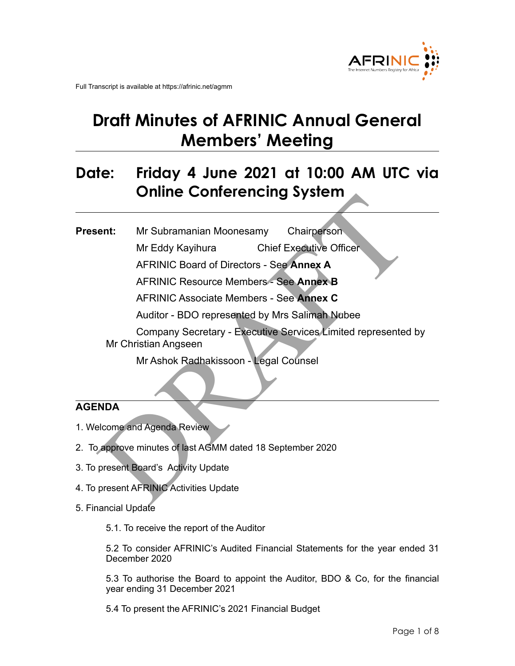

Full Transcript is available at https://afrinic.net/agmm

# **Draft Minutes of AFRINIC Annual General Members' Meeting**

## **Date: Friday 4 June 2021 at 10:00 AM UTC via Online Conferencing System**

The Connected Connected by Marine Chairperson<br>
Mr Eddy Kayihura Chief Executive Officer<br>
AFRINIC Board of Directors - See Annex A<br>
AFRINIC Resource Members - See Annex B<br>
AFRINIC Associate Members - See Annex C<br>
Auditor - **Present:** Mr Subramanian Moonesamy Chairperson Mr Eddy Kayihura Chief Executive Officer AFRINIC Board of Directors - See **Annex A**  AFRINIC Resource Members - See **Annex B**  AFRINIC Associate Members - See **Annex C**  Auditor - BDO represented by Mrs Salimah Nubee Company Secretary - Executive Services Limited represented by Mr Christian Angseen Mr Ashok Radhakissoon - Legal Counsel

### **AGENDA**

- 1. Welcome and Agenda Review
- 2. To approve minutes of last AGMM dated 18 September 2020
- 3. To present Board's Activity Update
- 4. To present AFRINIC Activities Update
- 5. Financial Update

5.1. To receive the report of the Auditor

5.2 To consider AFRINIC's Audited Financial Statements for the year ended 31 December 2020

5.3 To authorise the Board to appoint the Auditor, BDO & Co, for the financial year ending 31 December 2021

5.4 To present the AFRINIC's 2021 Financial Budget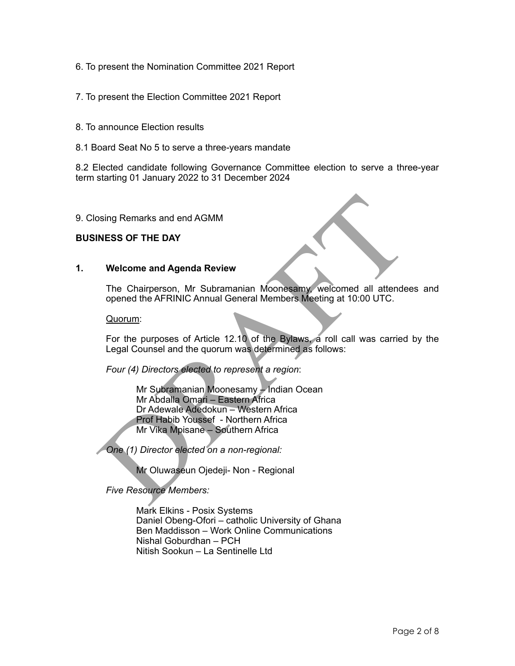- 6. To present the Nomination Committee 2021 Report
- 7. To present the Election Committee 2021 Report
- 8. To announce Election results
- 8.1 Board Seat No 5 to serve a three-years mandate

8.2 Elected candidate following Governance Committee election to serve a three-year term starting 01 January 2022 to 31 December 2024

9. Closing Remarks and end AGMM

#### **BUSINESS OF THE DAY**

#### **1. Welcome and Agenda Review**

The Chairperson, Mr Subramanian Moonesamy, welcomed all attendees and opened the AFRINIC Annual General Members Meeting at 10:00 UTC.

Quorum:

For the purposes of Article 12.10 of the Bylaws, a roll call was carried by the Legal Counsel and the quorum was determined as follows:

*Four (4) Directors elected to represent a region*:

oring Remarks and end AGMM<br>
INESS OF THE DAY<br>
Welcome and Agenda Review<br>
The Chairperson, Mr Subramanian Moonesamy, welcomed all attende<br>
opened the AFRINIC Annual General Members Meeting at 10:00 UTC.<br>
Quorum:<br>
For the pu Mr Subramanian Moonesamy – Indian Ocean Mr Abdalla Omari – Eastern Africa Dr Adewale Adedokun – Western Africa Prof Habib Youssef - Northern Africa Mr Vika Mpisane – Southern Africa

*One (1) Director elected on a non-regional:* 

Mr Oluwaseun Ojedeji- Non - Regional

*Five Resource Members:* 

Mark Elkins - Posix Systems Daniel Obeng-Ofori – catholic University of Ghana Ben Maddisson – Work Online Communications Nishal Goburdhan – PCH Nitish Sookun – La Sentinelle Ltd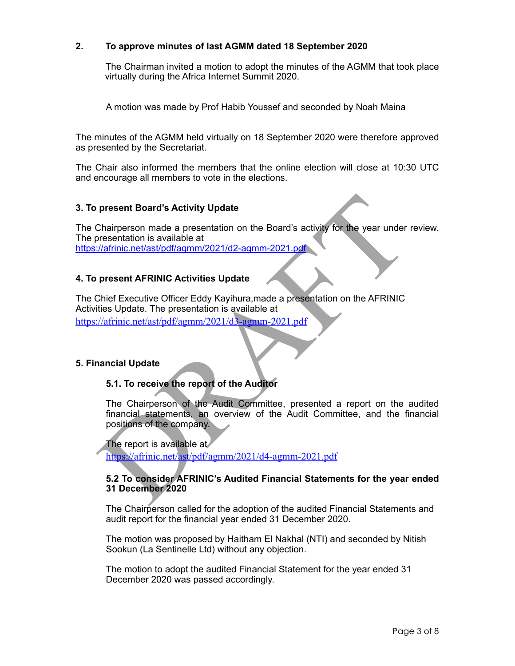#### **2. To approve minutes of last AGMM dated 18 September 2020**

 The Chairman invited a motion to adopt the minutes of the AGMM that took place virtually during the Africa Internet Summit 2020.

A motion was made by Prof Habib Youssef and seconded by Noah Maina

The minutes of the AGMM held virtually on 18 September 2020 were therefore approved as presented by the Secretariat.

The Chair also informed the members that the online election will close at 10:30 UTC and encourage all members to vote in the elections.

#### **3. To present Board's Activity Update**

The Chairperson made a presentation on the Board's activity for the year under review. The presentation is available at <https://afrinic.net/ast/pdf/agmm/2021/d2-agmm-2021.pdf>

#### **4. To present AFRINIC Activities Update**

present Board's Activity Update<br>
Chairperson made a presentation on the Board's activity for the year under<br>
content the activity of the search theorem is available at<br>
Chief Executive Officer Eddy Kayihura, made a present The Chief Executive Officer Eddy Kayihura,made a presentation on the AFRINIC Activities Update. The presentation is available at https://afrinic.net/ast/pdf/agmm/2021/d3-agmm-2021.pdf

#### **5. Financial Update**

#### **5.1. To receive the report of the Auditor**

The Chairperson of the Audit Committee, presented a report on the audited financial statements, an overview of the Audit Committee, and the financial positions of the company.

The report is available at https://afrinic.net/ast/pdf/agmm/2021/d4-agmm-2021.pdf

#### **5.2 To consider AFRINIC's Audited Financial Statements for the year ended 31 December 2020**

The Chairperson called for the adoption of the audited Financial Statements and audit report for the financial year ended 31 December 2020.

The motion was proposed by Haitham El Nakhal (NTI) and seconded by Nitish Sookun (La Sentinelle Ltd) without any objection.

The motion to adopt the audited Financial Statement for the year ended 31 December 2020 was passed accordingly.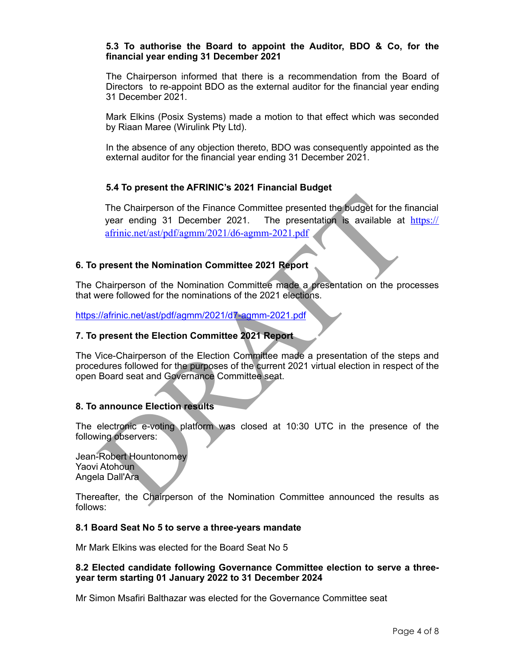#### **5.3 To authorise the Board to appoint the Auditor, BDO & Co, for the financial year ending 31 December 2021**

The Chairperson informed that there is a recommendation from the Board of Directors to re-appoint BDO as the external auditor for the financial year ending 31 December 2021.

Mark Elkins (Posix Systems) made a motion to that effect which was seconded by Riaan Maree (Wirulink Pty Ltd).

In the absence of any objection thereto, BDO was consequently appointed as the external auditor for the financial year ending 31 December 2021.

#### **5.4 To present the AFRINIC's 2021 Financial Budget**

The Chairperson of the Finance Committee presented the budget for the fi<br>year ending 31 December 2021. The presentation is available at<br>affinic.net/ast/pdf/agmm/2021/d6-agmm-2021.pdf<br>present the Nomination Committee 2021 R The Chairperson of the Finance Committee presented the budget for the financial year ending 31 December 2021. The presentation is available at  $\frac{https://}{https://}$  $\frac{https://}{https://}$  $\frac{https://}{https://}$ afrinic.net/ast/pdf/agmm/2021/d6-agmm-2021.pdf

#### **6. To present the Nomination Committee 2021 Report**

The Chairperson of the Nomination Committee made a presentation on the processes that were followed for the nominations of the 2021 elections.

<https://afrinic.net/ast/pdf/agmm/2021/d7-agmm-2021.pdf>

#### **7. To present the Election Committee 2021 Report**

The Vice-Chairperson of the Election Committee made a presentation of the steps and procedures followed for the purposes of the current 2021 virtual election in respect of the open Board seat and Governance Committee seat.

#### **8. To announce Election results**

The electronic e-voting platform was closed at 10:30 UTC in the presence of the following observers:

Jean-Robert Hountonomey Yaovi Atohoun Angela Dall'Ara

Thereafter, the Chairperson of the Nomination Committee announced the results as follows:

#### **8.1 Board Seat No 5 to serve a three-years mandate**

Mr Mark Elkins was elected for the Board Seat No 5

#### **8.2 Elected candidate following Governance Committee election to serve a threeyear term starting 01 January 2022 to 31 December 2024**

Mr Simon Msafiri Balthazar was elected for the Governance Committee seat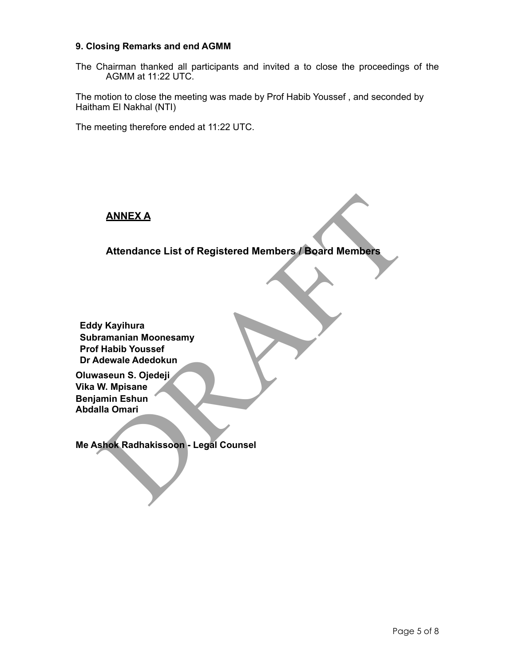#### **9. Closing Remarks and end AGMM**

The Chairman thanked all participants and invited a to close the proceedings of the AGMM at 11:22 UTC.

The motion to close the meeting was made by Prof Habib Youssef , and seconded by Haitham El Nakhal (NTI)

The meeting therefore ended at 11:22 UTC.

**ANNEX A** 

**Attendance List of Registered Members / Board Members** 

ANNEXA<br>
Attendance List of Registered Members / Board Members<br>
y Kayihura<br>
ramanian Moonesamy<br>
If Habib Youssef<br>
Idewale Adedokun<br>
W. Mpisane<br>
amin Eshun<br>
W. Mpisane<br>
amin Eshun<br>
Shok Radhakissoon - Legal Counsel<br>
shok Rad **Eddy Kayihura Subramanian Moonesamy Prof Habib Youssef Dr Adewale Adedokun**

**Oluwaseun S. Ojedeji Vika W. Mpisane Benjamin Eshun Abdalla Omari** 

**Me Ashok Radhakissoon - Legal Counsel**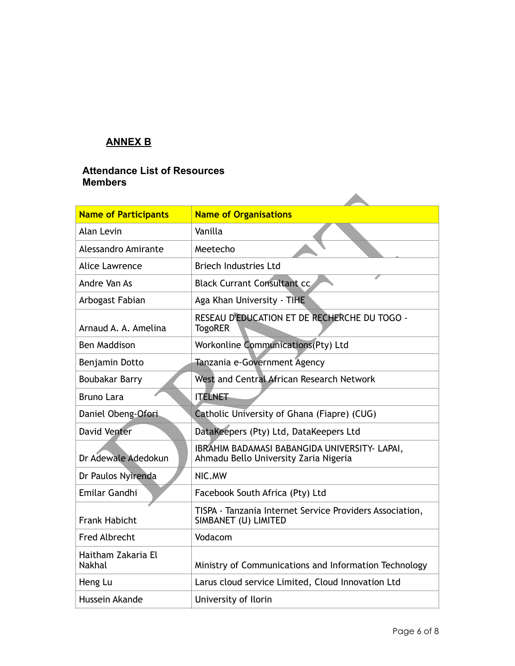## **ANNEX B**

#### **Attendance List of Resources Members**

| <b>Name of Participants</b>         | <b>Name of Organisations</b>                                                           |
|-------------------------------------|----------------------------------------------------------------------------------------|
| Alan Levin                          | Vanilla                                                                                |
| Alessandro Amirante                 | Meetecho                                                                               |
| Alice Lawrence                      | <b>Briech Industries Ltd</b>                                                           |
| Andre Van As                        | <b>Black Currant Consultant cc.</b>                                                    |
| Arbogast Fabian                     | Aga Khan University - TIHE                                                             |
| Arnaud A. A. Amelina                | RESEAU D'EDUCATION ET DE RECHERCHE DU TOGO -<br><b>TogoRER</b>                         |
| Ben Maddison                        | Workonline Communications(Pty) Ltd                                                     |
| Benjamin Dotto                      | Tanzania e-Government Agency                                                           |
| <b>Boubakar Barry</b>               | West and Central African Research Network                                              |
| <b>Bruno Lara</b>                   | <b>ITELNET</b>                                                                         |
| Daniel Obeng-Ofori                  | Catholic University of Ghana (Fiapre) (CUG)                                            |
| <b>David Venter</b>                 | DataKeepers (Pty) Ltd, DataKeepers Ltd                                                 |
| Dr Adewale Adedokun                 | IBRAHIM BADAMASI BABANGIDA UNIVERSITY- LAPAI,<br>Ahmadu Bello University Zaria Nigeria |
| Dr Paulos Nyirenda                  | NIC.MW                                                                                 |
| Emilar Gandhi                       | Facebook South Africa (Pty) Ltd                                                        |
| <b>Frank Habicht</b>                | TISPA - Tanzania Internet Service Providers Association,<br>SIMBANET (U) LIMITED       |
| <b>Fred Albrecht</b>                | Vodacom                                                                                |
| Haitham Zakaria El<br><b>Nakhal</b> | Ministry of Communications and Information Technology                                  |
| Heng Lu                             | Larus cloud service Limited, Cloud Innovation Ltd                                      |
| Hussein Akande                      | University of Ilorin                                                                   |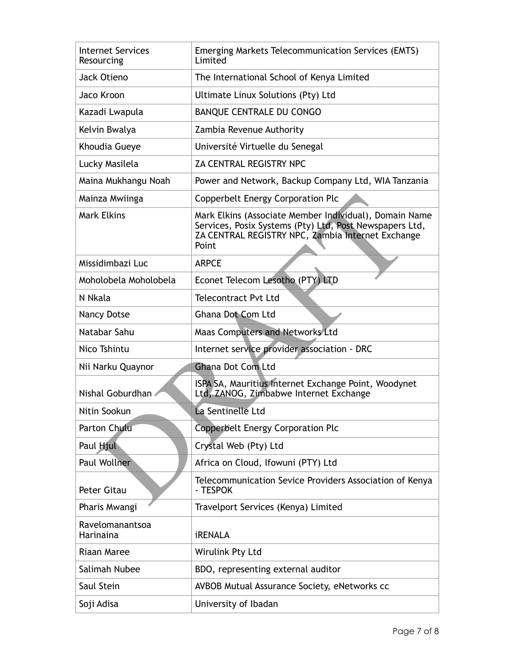| <b>Internet Services</b><br>Resourcing | <b>Emerging Markets Telecommunication Services (EMTS)</b><br>Limited                                                                                                            |
|----------------------------------------|---------------------------------------------------------------------------------------------------------------------------------------------------------------------------------|
| Jack Otieno                            | The International School of Kenya Limited                                                                                                                                       |
| Jaco Kroon                             | Ultimate Linux Solutions (Pty) Ltd                                                                                                                                              |
| Kazadi Lwapula                         | <b>BANQUE CENTRALE DU CONGO</b>                                                                                                                                                 |
| Kelvin Bwalya                          | Zambia Revenue Authority                                                                                                                                                        |
| Khoudia Gueye                          | Université Virtuelle du Senegal                                                                                                                                                 |
| Lucky Masilela                         | ZA CENTRAL REGISTRY NPC                                                                                                                                                         |
| Maina Mukhangu Noah                    | Power and Network, Backup Company Ltd, WIA Tanzania                                                                                                                             |
| Mainza Mwiinga                         | Copperbelt Energy Corporation Plc                                                                                                                                               |
| <b>Mark Elkins</b>                     | Mark Elkins (Associate Member Individual), Domain Name<br>Services, Posix Systems (Pty) Ltd, Post Newspapers Ltd,<br>ZA CENTRAL REGISTRY NPC, Zambia Internet Exchange<br>Point |
| Missidimbazi Luc                       | <b>ARPCE</b>                                                                                                                                                                    |
| Moholobela Moholobela                  | Econet Telecom Lesotho (PTY) LTD                                                                                                                                                |
| N Nkala                                | <b>Telecontract Pvt Ltd</b>                                                                                                                                                     |
| <b>Nancy Dotse</b>                     | <b>Ghana Dot Com Ltd</b>                                                                                                                                                        |
| Natabar Sahu                           | <b>Maas Computers and Networks Ltd</b>                                                                                                                                          |
| Nico Tshintu                           | Internet service provider association - DRC                                                                                                                                     |
| Nii Narku Quaynor                      | <b>Ghana Dot Com Ltd</b>                                                                                                                                                        |
| Nishal Goburdhan                       | ISPA SA, Mauritius Internet Exchange Point, Woodynet<br>Ltd, ZANOG, Zimbabwe Internet Exchange                                                                                  |
| Nitin Sookun                           | La Sentinelle Ltd                                                                                                                                                               |
| <b>Parton Chulu</b>                    | Copperbelt Energy Corporation Plc                                                                                                                                               |
| Paul Hjul                              | Crystal Web (Pty) Ltd                                                                                                                                                           |
| <b>Paul Wollner</b>                    | Africa on Cloud, Ifowuni (PTY) Ltd                                                                                                                                              |
| Peter Gitau                            | Telecommunication Sevice Providers Association of Kenya<br>- TESPOK                                                                                                             |
| Pharis Mwangi                          | Travelport Services (Kenya) Limited                                                                                                                                             |
| Ravelomanantsoa<br>Harinaina           | <b>iRENALA</b>                                                                                                                                                                  |
| <b>Riaan Maree</b>                     | Wirulink Pty Ltd                                                                                                                                                                |
| Salimah Nubee                          | BDO, representing external auditor                                                                                                                                              |
| Saul Stein                             | AVBOB Mutual Assurance Society, eNetworks cc                                                                                                                                    |
| Soji Adisa                             | University of Ibadan                                                                                                                                                            |